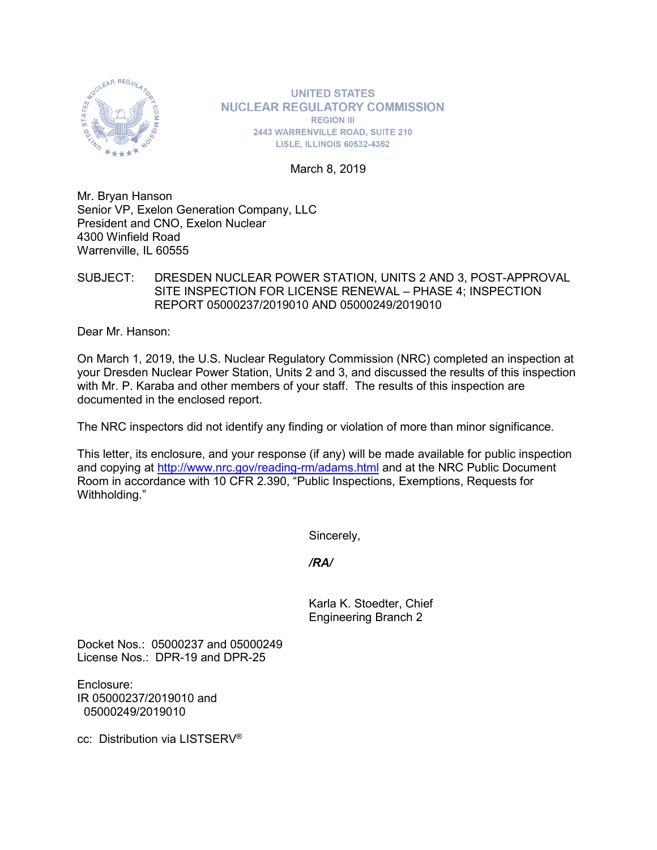

**UNITED STATES NUCLEAR REGULATORY COMMISSION REGION III** 2443 WARRENVILLE ROAD, SUITE 210 **LISLE, ILLINOIS 60532-4352** 

March 8, 2019

Mr. Bryan Hanson Senior VP, Exelon Generation Company, LLC President and CNO, Exelon Nuclear 4300 Winfield Road Warrenville, IL 60555

SUBJECT: DRESDEN NUCLEAR POWER STATION, UNITS 2 AND 3, POST-APPROVAL SITE INSPECTION FOR LICENSE RENEWAL – PHASE 4; INSPECTION REPORT 05000237/2019010 AND 05000249/2019010

Dear Mr. Hanson:

On March 1, 2019, the U.S. Nuclear Regulatory Commission (NRC) completed an inspection at your Dresden Nuclear Power Station, Units 2 and 3, and discussed the results of this inspection with Mr. P. Karaba and other members of your staff. The results of this inspection are documented in the enclosed report.

The NRC inspectors did not identify any finding or violation of more than minor significance.

This letter, its enclosure, and your response (if any) will be made available for public inspection and copying at<http://www.nrc.gov/reading-rm/adams.html> and at the NRC Public Document Room in accordance with 10 CFR 2.390, "Public Inspections, Exemptions, Requests for Withholding."

Sincerely,

*/RA/*

Karla K. Stoedter, Chief Engineering Branch 2

Docket Nos.: 05000237 and 05000249 License Nos.: DPR-19 and DPR-25

Enclosure: IR 05000237/2019010 and 05000249/2019010

cc: Distribution via LISTSERV®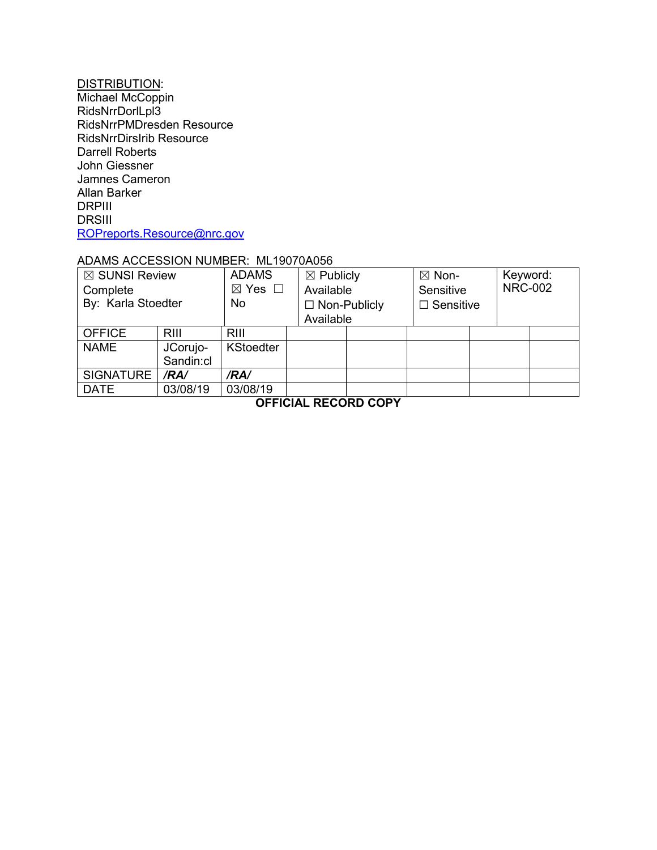#### <u>DISTRIBUTION:</u>

Michael McCoppin RidsNrrDorlLpl3 RidsNrrPMDresden Resource RidsNrrDirsIrib Resource Darrell Roberts John Giessner Jamnes Cameron Allan Barker DRPIII **DRSIII** [ROPreports.Resource@nrc.gov](mailto:ROPreports.Resource@nrc.gov)

### ADAMS ACCESSION NUMBER: ML19070A056

| $\boxtimes$ SUNSI Review<br>Complete<br>By: Karla Stoedter |             | <b>ADAMS</b><br>$\boxtimes$ Yes $\Box$<br>No. | $\boxtimes$ Publicly<br>Available<br>$\Box$ Non-Publicly<br>Available |  | $\boxtimes$ Non-<br>Sensitive<br>$\Box$ Sensitive |  | Keyword:<br><b>NRC-002</b> |  |
|------------------------------------------------------------|-------------|-----------------------------------------------|-----------------------------------------------------------------------|--|---------------------------------------------------|--|----------------------------|--|
|                                                            |             |                                               |                                                                       |  |                                                   |  |                            |  |
| <b>OFFICE</b>                                              | <b>RIII</b> | <b>RIII</b>                                   |                                                                       |  |                                                   |  |                            |  |
| <b>NAME</b>                                                | JCorujo-    | <b>KStoedter</b>                              |                                                                       |  |                                                   |  |                            |  |
|                                                            | Sandin:cl   |                                               |                                                                       |  |                                                   |  |                            |  |
| SIGNATURE                                                  | /RA/        | /RA/                                          |                                                                       |  |                                                   |  |                            |  |
| <b>DATE</b>                                                | 03/08/19    | 03/08/19                                      |                                                                       |  |                                                   |  |                            |  |
|                                                            |             |                                               |                                                                       |  |                                                   |  |                            |  |

**OFFICIAL RECORD COPY**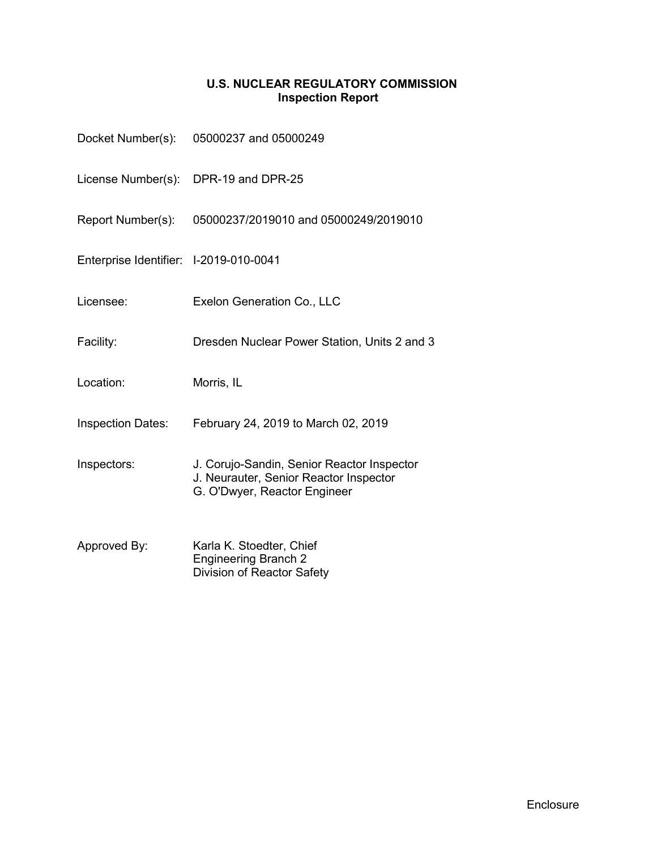# **U.S. NUCLEAR REGULATORY COMMISSION Inspection Report**

|                                        | Docket Number(s): 05000237 and 05000249                                                                              |  |  |  |  |
|----------------------------------------|----------------------------------------------------------------------------------------------------------------------|--|--|--|--|
|                                        | License Number(s): DPR-19 and DPR-25                                                                                 |  |  |  |  |
| Report Number(s):                      | 05000237/2019010 and 05000249/2019010                                                                                |  |  |  |  |
| Enterprise Identifier: I-2019-010-0041 |                                                                                                                      |  |  |  |  |
| Licensee:                              | Exelon Generation Co., LLC                                                                                           |  |  |  |  |
| Facility:                              | Dresden Nuclear Power Station, Units 2 and 3                                                                         |  |  |  |  |
| Location:                              | Morris, IL                                                                                                           |  |  |  |  |
| <b>Inspection Dates:</b>               | February 24, 2019 to March 02, 2019                                                                                  |  |  |  |  |
| Inspectors:                            | J. Corujo-Sandin, Senior Reactor Inspector<br>J. Neurauter, Senior Reactor Inspector<br>G. O'Dwyer, Reactor Engineer |  |  |  |  |
| Approved By:                           | Karla K. Stoedter, Chief<br><b>Engineering Branch 2</b><br>Division of Reactor Safety                                |  |  |  |  |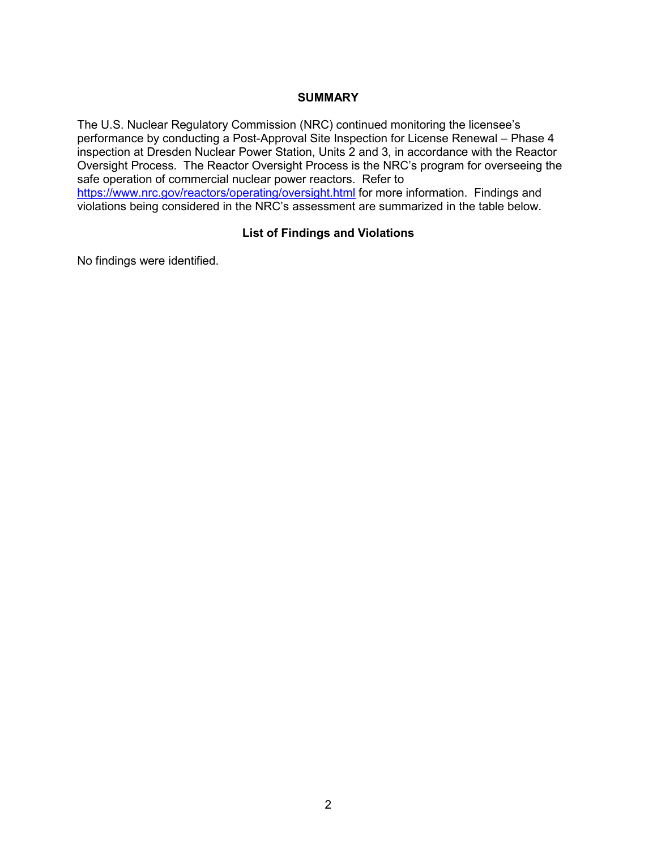#### **SUMMARY**

The U.S. Nuclear Regulatory Commission (NRC) continued monitoring the licensee's performance by conducting a Post-Approval Site Inspection for License Renewal – Phase 4 inspection at Dresden Nuclear Power Station, Units 2 and 3, in accordance with the Reactor Oversight Process. The Reactor Oversight Process is the NRC's program for overseeing the safe operation of commercial nuclear power reactors. Refer to <https://www.nrc.gov/reactors/operating/oversight.html> for more information. Findings and violations being considered in the NRC's assessment are summarized in the table below.

# **List of Findings and Violations**

No findings were identified.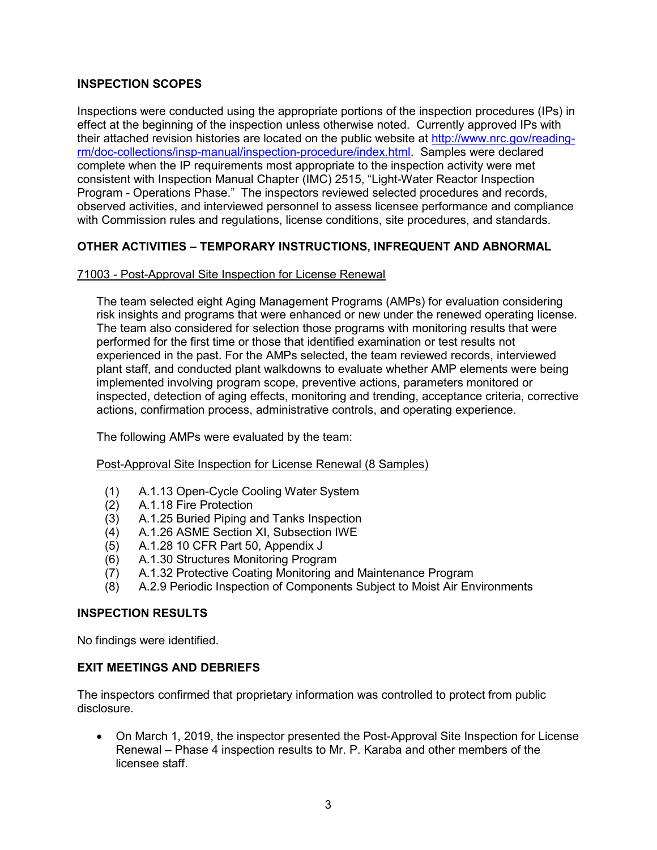# **INSPECTION SCOPES**

Inspections were conducted using the appropriate portions of the inspection procedures (IPs) in effect at the beginning of the inspection unless otherwise noted. Currently approved IPs with their attached revision histories are located on the public website at [http://www.nrc.gov/reading](http://www.nrc.gov/reading-rm/doc-collections/insp-manual/inspection-procedure/index.html)[rm/doc-collections/insp-manual/inspection-procedure/index.html.](http://www.nrc.gov/reading-rm/doc-collections/insp-manual/inspection-procedure/index.html) Samples were declared complete when the IP requirements most appropriate to the inspection activity were met consistent with Inspection Manual Chapter (IMC) 2515, "Light-Water Reactor Inspection Program - Operations Phase." The inspectors reviewed selected procedures and records, observed activities, and interviewed personnel to assess licensee performance and compliance with Commission rules and regulations, license conditions, site procedures, and standards.

# **OTHER ACTIVITIES – TEMPORARY INSTRUCTIONS, INFREQUENT AND ABNORMAL**

# 71003 - Post-Approval Site Inspection for License Renewal

The team selected eight Aging Management Programs (AMPs) for evaluation considering risk insights and programs that were enhanced or new under the renewed operating license. The team also considered for selection those programs with monitoring results that were performed for the first time or those that identified examination or test results not experienced in the past. For the AMPs selected, the team reviewed records, interviewed plant staff, and conducted plant walkdowns to evaluate whether AMP elements were being implemented involving program scope, preventive actions, parameters monitored or inspected, detection of aging effects, monitoring and trending, acceptance criteria, corrective actions, confirmation process, administrative controls, and operating experience.

The following AMPs were evaluated by the team:

#### Post-Approval Site Inspection for License Renewal (8 Samples)

- (1) A.1.13 Open-Cycle Cooling Water System
- (2) A.1.18 Fire Protection
- (3) A.1.25 Buried Piping and Tanks Inspection
- (4) A.1.26 ASME Section XI, Subsection IWE
- (5) A.1.28 10 CFR Part 50, Appendix J
- (6) A.1.30 Structures Monitoring Program
- (7) A.1.32 Protective Coating Monitoring and Maintenance Program
- (8) A.2.9 Periodic Inspection of Components Subject to Moist Air Environments

#### **INSPECTION RESULTS**

No findings were identified.

#### **EXIT MEETINGS AND DEBRIEFS**

The inspectors confirmed that proprietary information was controlled to protect from public disclosure.

• On March 1, 2019, the inspector presented the Post-Approval Site Inspection for License Renewal – Phase 4 inspection results to Mr. P. Karaba and other members of the licensee staff.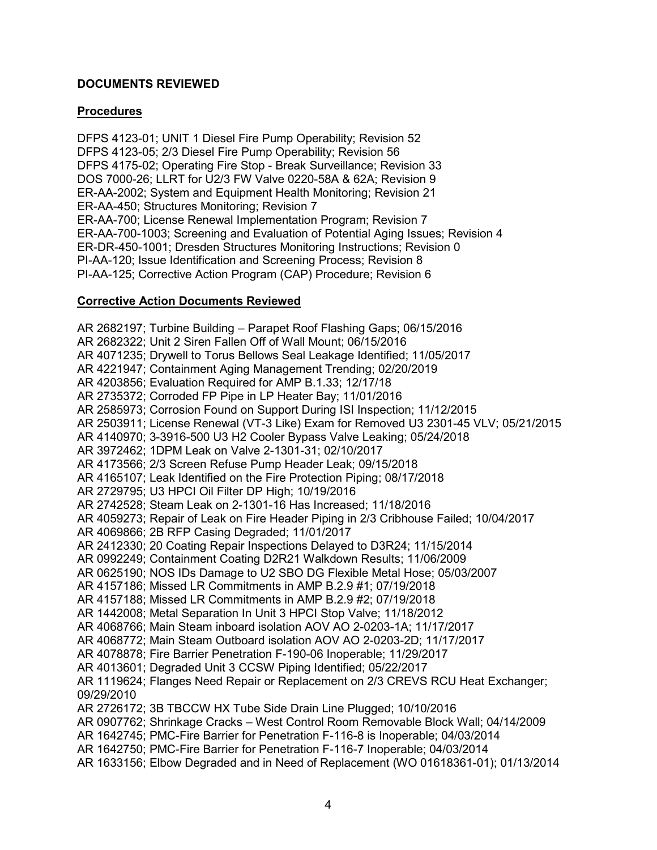# **DOCUMENTS REVIEWED**

### **Procedures**

DFPS 4123-01; UNIT 1 Diesel Fire Pump Operability; Revision 52 DFPS 4123-05; 2/3 Diesel Fire Pump Operability; Revision 56 DFPS 4175-02; Operating Fire Stop - Break Surveillance; Revision 33 DOS 7000-26; LLRT for U2/3 FW Valve 0220-58A & 62A; Revision 9 ER-AA-2002; System and Equipment Health Monitoring; Revision 21 ER-AA-450; Structures Monitoring; Revision 7 ER-AA-700; License Renewal Implementation Program; Revision 7 ER-AA-700-1003; Screening and Evaluation of Potential Aging Issues; Revision 4 ER-DR-450-1001; Dresden Structures Monitoring Instructions; Revision 0 PI-AA-120; Issue Identification and Screening Process; Revision 8 PI-AA-125; Corrective Action Program (CAP) Procedure; Revision 6

#### **Corrective Action Documents Reviewed**

AR 2682197; Turbine Building – Parapet Roof Flashing Gaps; 06/15/2016 AR 2682322; Unit 2 Siren Fallen Off of Wall Mount; 06/15/2016 AR 4071235; Drywell to Torus Bellows Seal Leakage Identified; 11/05/2017 AR 4221947; Containment Aging Management Trending; 02/20/2019 AR 4203856; Evaluation Required for AMP B.1.33; 12/17/18 AR 2735372; Corroded FP Pipe in LP Heater Bay; 11/01/2016 AR 2585973; Corrosion Found on Support During ISI Inspection; 11/12/2015 AR 2503911; License Renewal (VT-3 Like) Exam for Removed U3 2301-45 VLV; 05/21/2015 AR 4140970; 3-3916-500 U3 H2 Cooler Bypass Valve Leaking; 05/24/2018 AR 3972462; 1DPM Leak on Valve 2-1301-31; 02/10/2017 AR 4173566; 2/3 Screen Refuse Pump Header Leak; 09/15/2018 AR 4165107; Leak Identified on the Fire Protection Piping; 08/17/2018 AR 2729795; U3 HPCI Oil Filter DP High; 10/19/2016 AR 2742528; Steam Leak on 2-1301-16 Has Increased; 11/18/2016 AR 4059273; Repair of Leak on Fire Header Piping in 2/3 Cribhouse Failed; 10/04/2017 AR 4069866; 2B RFP Casing Degraded; 11/01/2017 AR 2412330; 20 Coating Repair Inspections Delayed to D3R24; 11/15/2014 AR 0992249; Containment Coating D2R21 Walkdown Results; 11/06/2009 AR 0625190; NOS IDs Damage to U2 SBO DG Flexible Metal Hose; 05/03/2007 AR 4157186; Missed LR Commitments in AMP B.2.9 #1; 07/19/2018 AR 4157188; Missed LR Commitments in AMP B.2.9 #2; 07/19/2018 AR 1442008; Metal Separation In Unit 3 HPCI Stop Valve; 11/18/2012 AR 4068766; Main Steam inboard isolation AOV AO 2-0203-1A; 11/17/2017 AR 4068772; Main Steam Outboard isolation AOV AO 2-0203-2D; 11/17/2017 AR 4078878; Fire Barrier Penetration F-190-06 Inoperable; 11/29/2017 AR 4013601; Degraded Unit 3 CCSW Piping Identified; 05/22/2017 AR 1119624; Flanges Need Repair or Replacement on 2/3 CREVS RCU Heat Exchanger; 09/29/2010 AR 2726172; 3B TBCCW HX Tube Side Drain Line Plugged; 10/10/2016 AR 0907762; Shrinkage Cracks – West Control Room Removable Block Wall; 04/14/2009 AR 1642745; PMC-Fire Barrier for Penetration F-116-8 is Inoperable; 04/03/2014 AR 1642750; PMC-Fire Barrier for Penetration F-116-7 Inoperable; 04/03/2014 AR 1633156; Elbow Degraded and in Need of Replacement (WO 01618361-01); 01/13/2014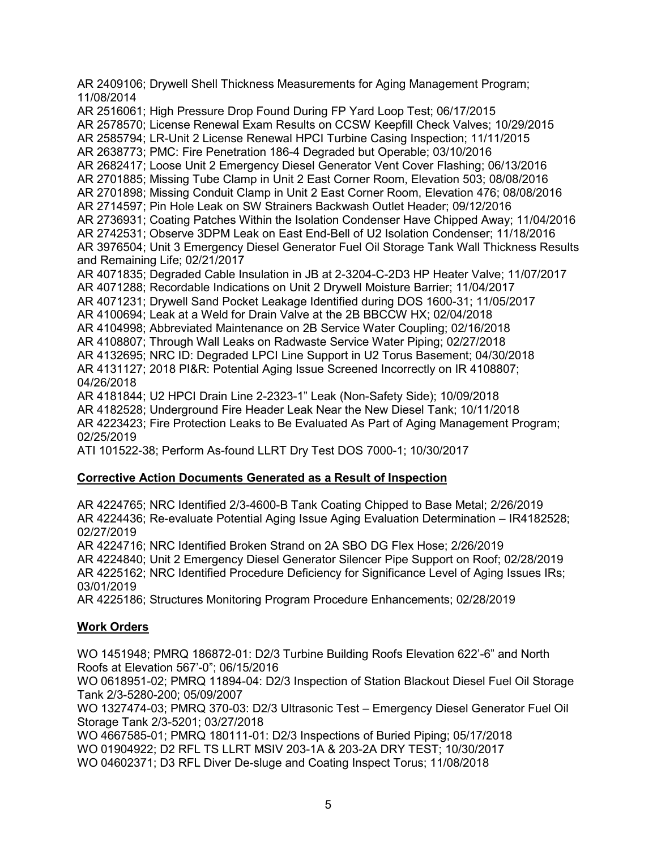AR 2409106; Drywell Shell Thickness Measurements for Aging Management Program; 11/08/2014 AR 2516061; High Pressure Drop Found During FP Yard Loop Test; 06/17/2015 AR 2578570; License Renewal Exam Results on CCSW Keepfill Check Valves; 10/29/2015 AR 2585794; LR-Unit 2 License Renewal HPCI Turbine Casing Inspection; 11/11/2015 AR 2638773; PMC: Fire Penetration 186-4 Degraded but Operable; 03/10/2016 AR 2682417; Loose Unit 2 Emergency Diesel Generator Vent Cover Flashing; 06/13/2016 AR 2701885; Missing Tube Clamp in Unit 2 East Corner Room, Elevation 503; 08/08/2016 AR 2701898; Missing Conduit Clamp in Unit 2 East Corner Room, Elevation 476; 08/08/2016 AR 2714597; Pin Hole Leak on SW Strainers Backwash Outlet Header; 09/12/2016 AR 2736931; Coating Patches Within the Isolation Condenser Have Chipped Away; 11/04/2016 AR 2742531; Observe 3DPM Leak on East End-Bell of U2 Isolation Condenser; 11/18/2016 AR 3976504; Unit 3 Emergency Diesel Generator Fuel Oil Storage Tank Wall Thickness Results and Remaining Life; 02/21/2017 AR 4071835; Degraded Cable Insulation in JB at 2-3204-C-2D3 HP Heater Valve; 11/07/2017 AR 4071288; Recordable Indications on Unit 2 Drywell Moisture Barrier; 11/04/2017 AR 4071231; Drywell Sand Pocket Leakage Identified during DOS 1600-31; 11/05/2017 AR 4100694; Leak at a Weld for Drain Valve at the 2B BBCCW HX; 02/04/2018 AR 4104998; Abbreviated Maintenance on 2B Service Water Coupling; 02/16/2018 AR 4108807; Through Wall Leaks on Radwaste Service Water Piping; 02/27/2018 AR 4132695; NRC ID: Degraded LPCI Line Support in U2 Torus Basement; 04/30/2018 AR 4131127; 2018 PI&R: Potential Aging Issue Screened Incorrectly on IR 4108807; 04/26/2018 AR 4181844; U2 HPCI Drain Line 2-2323-1" Leak (Non-Safety Side); 10/09/2018 AR 4182528; Underground Fire Header Leak Near the New Diesel Tank; 10/11/2018

AR 4223423; Fire Protection Leaks to Be Evaluated As Part of Aging Management Program; 02/25/2019

ATI 101522-38; Perform As-found LLRT Dry Test DOS 7000-1; 10/30/2017

#### **Corrective Action Documents Generated as a Result of Inspection**

AR 4224765; NRC Identified 2/3-4600-B Tank Coating Chipped to Base Metal; 2/26/2019 AR 4224436; Re-evaluate Potential Aging Issue Aging Evaluation Determination – IR4182528; 02/27/2019

AR 4224716; NRC Identified Broken Strand on 2A SBO DG Flex Hose; 2/26/2019

AR 4224840; Unit 2 Emergency Diesel Generator Silencer Pipe Support on Roof; 02/28/2019 AR 4225162; NRC Identified Procedure Deficiency for Significance Level of Aging Issues IRs; 03/01/2019

AR 4225186; Structures Monitoring Program Procedure Enhancements; 02/28/2019

#### **Work Orders**

WO 1451948; PMRQ 186872-01: D2/3 Turbine Building Roofs Elevation 622'-6" and North Roofs at Elevation 567'-0"; 06/15/2016

WO 0618951-02; PMRQ 11894-04: D2/3 Inspection of Station Blackout Diesel Fuel Oil Storage Tank 2/3-5280-200; 05/09/2007

WO 1327474-03; PMRQ 370-03: D2/3 Ultrasonic Test – Emergency Diesel Generator Fuel Oil Storage Tank 2/3-5201; 03/27/2018

WO 4667585-01; PMRQ 180111-01: D2/3 Inspections of Buried Piping; 05/17/2018 WO 01904922; D2 RFL TS LLRT MSIV 203-1A & 203-2A DRY TEST; 10/30/2017 WO 04602371; D3 RFL Diver De-sluge and Coating Inspect Torus; 11/08/2018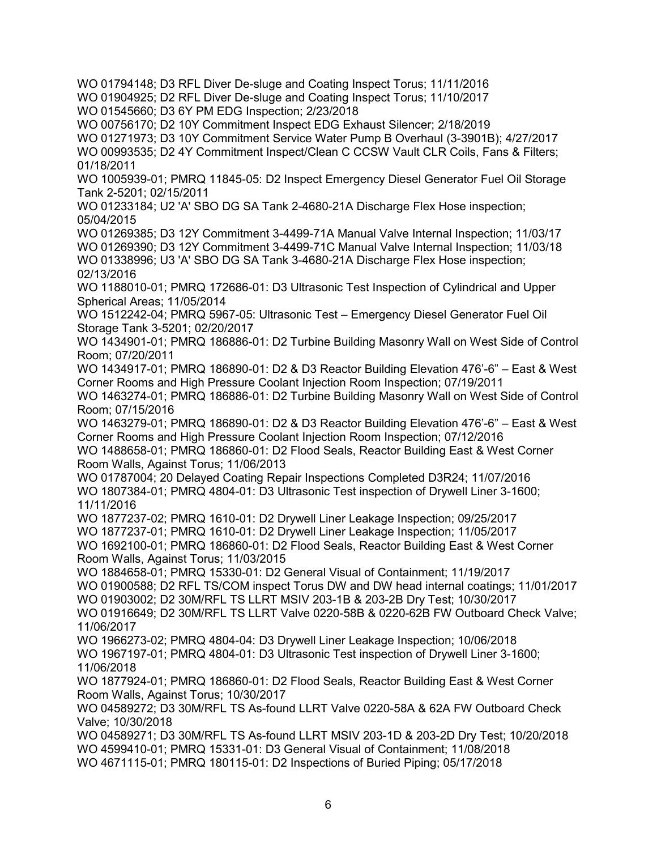WO 01794148; D3 RFL Diver De-sluge and Coating Inspect Torus; 11/11/2016 WO 01904925; D2 RFL Diver De-sluge and Coating Inspect Torus; 11/10/2017 WO 01545660; D3 6Y PM EDG Inspection; 2/23/2018 WO 00756170; D2 10Y Commitment Inspect EDG Exhaust Silencer; 2/18/2019 WO 01271973; D3 10Y Commitment Service Water Pump B Overhaul (3-3901B); 4/27/2017 WO 00993535; D2 4Y Commitment Inspect/Clean C CCSW Vault CLR Coils, Fans & Filters; 01/18/2011 WO 1005939-01; PMRQ 11845-05: D2 Inspect Emergency Diesel Generator Fuel Oil Storage Tank 2-5201; 02/15/2011 WO 01233184; U2 'A' SBO DG SA Tank 2-4680-21A Discharge Flex Hose inspection; 05/04/2015 WO 01269385; D3 12Y Commitment 3-4499-71A Manual Valve Internal Inspection; 11/03/17 WO 01269390; D3 12Y Commitment 3-4499-71C Manual Valve Internal Inspection; 11/03/18 WO 01338996; U3 'A' SBO DG SA Tank 3-4680-21A Discharge Flex Hose inspection; 02/13/2016 WO 1188010-01; PMRQ 172686-01: D3 Ultrasonic Test Inspection of Cylindrical and Upper Spherical Areas; 11/05/2014 WO 1512242-04; PMRQ 5967-05: Ultrasonic Test – Emergency Diesel Generator Fuel Oil Storage Tank 3-5201; 02/20/2017 WO 1434901-01; PMRQ 186886-01: D2 Turbine Building Masonry Wall on West Side of Control Room; 07/20/2011 WO 1434917-01; PMRQ 186890-01: D2 & D3 Reactor Building Elevation 476'-6" – East & West Corner Rooms and High Pressure Coolant Injection Room Inspection; 07/19/2011 WO 1463274-01; PMRQ 186886-01: D2 Turbine Building Masonry Wall on West Side of Control Room; 07/15/2016 WO 1463279-01; PMRQ 186890-01: D2 & D3 Reactor Building Elevation 476'-6" – East & West Corner Rooms and High Pressure Coolant Injection Room Inspection; 07/12/2016 WO 1488658-01; PMRQ 186860-01: D2 Flood Seals, Reactor Building East & West Corner Room Walls, Against Torus; 11/06/2013 WO 01787004; 20 Delayed Coating Repair Inspections Completed D3R24; 11/07/2016 WO 1807384-01; PMRQ 4804-01: D3 Ultrasonic Test inspection of Drywell Liner 3-1600; 11/11/2016 WO 1877237-02; PMRQ 1610-01: D2 Drywell Liner Leakage Inspection; 09/25/2017 WO 1877237-01; PMRQ 1610-01: D2 Drywell Liner Leakage Inspection; 11/05/2017 WO 1692100-01; PMRQ 186860-01: D2 Flood Seals, Reactor Building East & West Corner Room Walls, Against Torus; 11/03/2015 WO 1884658-01; PMRQ 15330-01: D2 General Visual of Containment; 11/19/2017 WO 01900588; D2 RFL TS/COM inspect Torus DW and DW head internal coatings; 11/01/2017 WO 01903002; D2 30M/RFL TS LLRT MSIV 203-1B & 203-2B Dry Test; 10/30/2017 WO 01916649; D2 30M/RFL TS LLRT Valve 0220-58B & 0220-62B FW Outboard Check Valve; 11/06/2017 WO 1966273-02; PMRQ 4804-04: D3 Drywell Liner Leakage Inspection; 10/06/2018 WO 1967197-01; PMRQ 4804-01: D3 Ultrasonic Test inspection of Drywell Liner 3-1600; 11/06/2018 WO 1877924-01; PMRQ 186860-01: D2 Flood Seals, Reactor Building East & West Corner Room Walls, Against Torus; 10/30/2017 WO 04589272; D3 30M/RFL TS As-found LLRT Valve 0220-58A & 62A FW Outboard Check Valve; 10/30/2018 WO 04589271; D3 30M/RFL TS As-found LLRT MSIV 203-1D & 203-2D Dry Test; 10/20/2018 WO 4599410-01; PMRQ 15331-01: D3 General Visual of Containment; 11/08/2018 WO 4671115-01; PMRQ 180115-01: D2 Inspections of Buried Piping; 05/17/2018